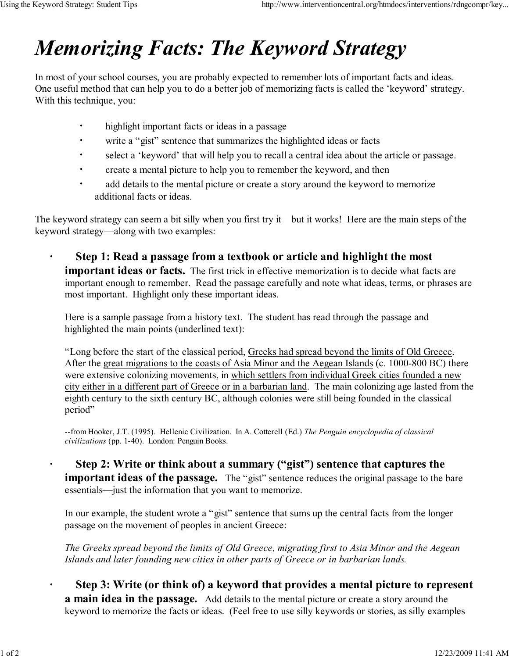## Memorizing Facts: The Keyword Strategy

In most of your school courses, you are probably expected to remember lots of important facts and ideas. One useful method that can help you to do a better job of memorizing facts is called the 'keyword' strategy. With this technique, you:

- · highlight important facts or ideas in a passage
- · write a "gist" sentence that summarizes the highlighted ideas or facts
- · select a 'keyword' that will help you to recall a central idea about the article or passage.
- · create a mental picture to help you to remember the keyword, and then
- · add details to the mental picture or create a story around the keyword to memorize additional facts or ideas.

The keyword strategy can seem a bit silly when you first try it—but it works! Here are the main steps of the keyword strategy—along with two examples:

Step 1: Read a passage from a textbook or article and highlight the most **important ideas or facts.** The first trick in effective memorization is to decide what facts are important enough to remember. Read the passage carefully and note what ideas, terms, or phrases are most important. Highlight only these important ideas.

Here is a sample passage from a history text. The student has read through the passage and highlighted the main points (underlined text):

"Long before the start of the classical period, Greeks had spread beyond the limits of Old Greece. After the great migrations to the coasts of Asia Minor and the Aegean Islands (c. 1000-800 BC) there were extensive colonizing movements, in which settlers from individual Greek cities founded a new city either in a different part of Greece or in a barbarian land. The main colonizing age lasted from the eighth century to the sixth century BC, although colonies were still being founded in the classical period"

--from Hooker, J.T. (1995). Hellenic Civilization. In A. Cotterell (Ed.) The Penguin encyclopedia of classical civilizations (pp. 1-40). London: Penguin Books.

· Step 2: Write or think about a summary ("gist") sentence that captures the important ideas of the passage. The "gist" sentence reduces the original passage to the bare essentials—just the information that you want to memorize.

In our example, the student wrote a "gist" sentence that sums up the central facts from the longer passage on the movement of peoples in ancient Greece:

The Greeks spread beyond the limits of Old Greece, migrating first to Asia Minor and the Aegean Islands and later founding new cities in other parts of Greece or in barbarian lands.

· Step 3: Write (or think of) a keyword that provides a mental picture to represent a main idea in the passage. Add details to the mental picture or create a story around the keyword to memorize the facts or ideas. (Feel free to use silly keywords or stories, as silly examples